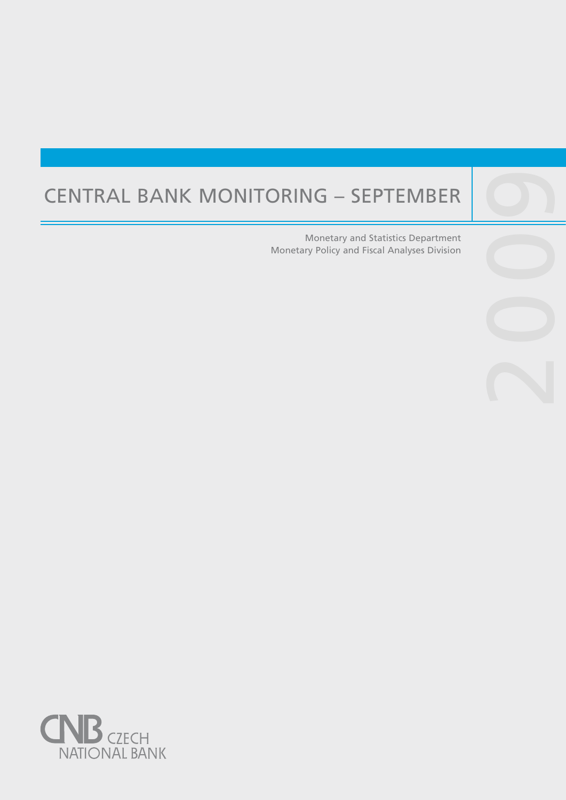# Central Bank Monitoring – September

Central banks are not universities and one would

purpose, such as, to lay the ground for the satisfac-

Monetary and Statistics Department Monetary Policy and Fiscal Analyses Division

2009

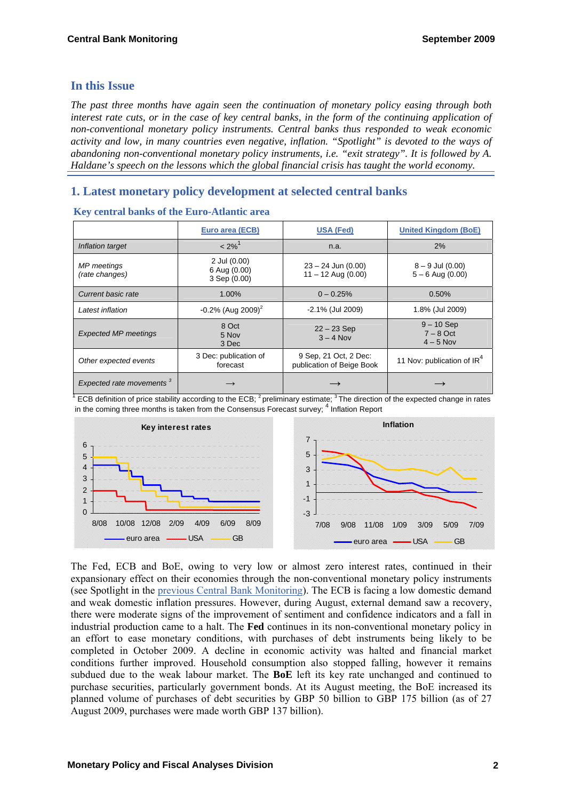# **In this Issue**

*The past three months have again seen the continuation of monetary policy easing through both interest rate cuts, or in the case of key central banks, in the form of the continuing application of non-conventional monetary policy instruments. Central banks thus responded to weak economic activity and low, in many countries even negative, inflation. "Spotlight" is devoted to the ways of abandoning non-conventional monetary policy instruments, i.e. "exit strategy". It is followed by A. Haldane's speech on the lessons which the global financial crisis has taught the world economy.* 

# **1. Latest monetary policy development at selected central banks**

|                                      | Euro area (ECB)                              | <b>USA (Fed)</b>                                   | <b>United Kingdom (BoE)</b>                |
|--------------------------------------|----------------------------------------------|----------------------------------------------------|--------------------------------------------|
| Inflation target                     | $< 2\%$ <sup>1</sup>                         | n.a.                                               | 2%                                         |
| <b>MP</b> meetings<br>(rate changes) | 2 Jul (0.00)<br>6 Aug (0.00)<br>3 Sep (0.00) | $23 - 24$ Jun (0.00)<br>$11 - 12$ Aug (0.00)       | $8 - 9$ Jul $(0.00)$<br>$5 - 6$ Aug (0.00) |
| Current basic rate                   | 1.00%                                        | $0 - 0.25%$                                        | 0.50%                                      |
| Latest inflation                     | $-0.2\%$ (Aug 2009) <sup>2</sup>             | -2.1% (Jul 2009)                                   | 1.8% (Jul 2009)                            |
| <b>Expected MP meetings</b>          | 8 Oct<br>5 Nov<br>3 Dec                      | $22 - 23$ Sep<br>$3 - 4$ Nov                       | $9 - 10$ Sep<br>$7 - 8$ Oct<br>$4 - 5$ Nov |
| Other expected events                | 3 Dec: publication of<br>forecast            | 9 Sep. 21 Oct. 2 Dec:<br>publication of Beige Book | 11 Nov: publication of IR <sup>4</sup>     |
| Expected rate movements <sup>3</sup> |                                              |                                                    |                                            |

|  |  |  | Key central banks of the Euro-Atlantic area |  |
|--|--|--|---------------------------------------------|--|
|--|--|--|---------------------------------------------|--|

 $1$  ECB definition of price stability according to the ECB;  $^2$  preliminary estimate;  $^3$  The direction of the expected change in rates in the coming three months is taken from the Consensus Forecast survey; <sup>4</sup> Inflation Report



The Fed, ECB and BoE, owing to very low or almost zero interest rates, continued in their expansionary effect on their economies through the non-conventional monetary policy instruments (see Spotlight in the [previous Central Bank Monitoring](http://www.cnb.cz/m2export/sites/www.cnb.cz/cs/menova_politika/monitoring_centralnich_bank/download/0902_mcb.pdf)). The ECB is facing a low domestic demand and weak domestic inflation pressures. However, during August, external demand saw a recovery, there were moderate signs of the improvement of sentiment and confidence indicators and a fall in industrial production came to a halt. The **Fed** continues in its non-conventional monetary policy in an effort to ease monetary conditions, with purchases of debt instruments being likely to be completed in October 2009. A decline in economic activity was halted and financial market conditions further improved. Household consumption also stopped falling, however it remains subdued due to the weak labour market. The **BoE** left its key rate unchanged and continued to purchase securities, particularly government bonds. At its August meeting, the BoE increased its planned volume of purchases of debt securities by GBP 50 billion to GBP 175 billion (as of 27 August 2009, purchases were made worth GBP 137 billion).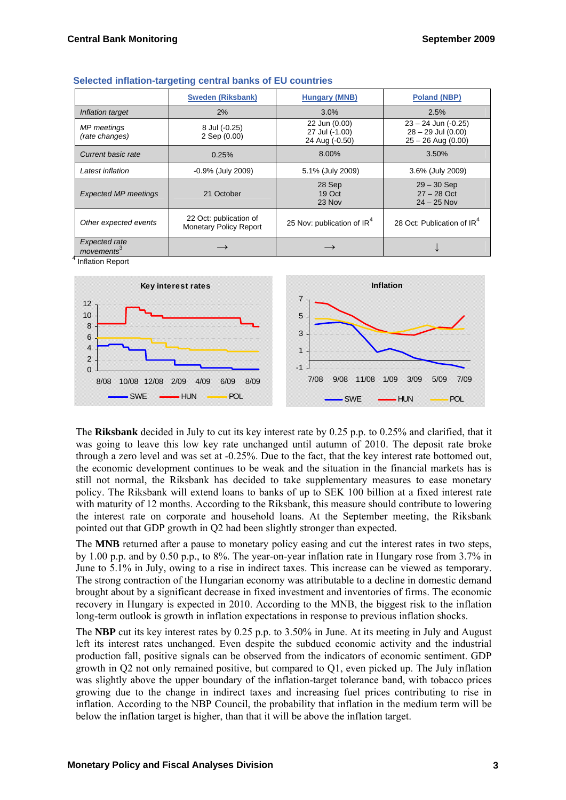|                                                | <b>Sweden (Riksbank)</b>                                | <b>Hungary (MNB)</b>                              | <b>Poland (NBP)</b>                                                   |
|------------------------------------------------|---------------------------------------------------------|---------------------------------------------------|-----------------------------------------------------------------------|
| Inflation target                               | 2%                                                      | 3.0%                                              | 2.5%                                                                  |
| MP meetings<br>(rate changes)                  | 8 Jul (-0.25)<br>2 Sep (0.00)                           | 22 Jun (0.00)<br>27 Jul (-1.00)<br>24 Aug (-0.50) | $23 - 24$ Jun (-0.25)<br>$28 - 29$ Jul (0.00)<br>$25 - 26$ Aug (0.00) |
| Current basic rate                             | 0.25%                                                   | 8.00%                                             | 3.50%                                                                 |
| Latest inflation                               | $-0.9\%$ (July 2009)                                    | 5.1% (July 2009)                                  | 3.6% (July 2009)                                                      |
| <b>Expected MP meetings</b>                    | 21 October                                              | 28 Sep<br>19 Oct<br>23 Nov                        | $29 - 30$ Sep<br>$27 - 28$ Oct<br>$24 - 25$ Nov                       |
| Other expected events                          | 22 Oct: publication of<br><b>Monetary Policy Report</b> | 25 Nov: publication of IR <sup>4</sup>            | 28 Oct: Publication of IR <sup>4</sup>                                |
| <b>Expected rate</b><br>movements <sup>3</sup> |                                                         |                                                   |                                                                       |

<sup>4</sup> Inflation Report



The **Riksbank** decided in July to cut its key interest rate by 0.25 p.p. to 0.25% and clarified, that it was going to leave this low key rate unchanged until autumn of 2010. The deposit rate broke through a zero level and was set at -0.25%. Due to the fact, that the key interest rate bottomed out, the economic development continues to be weak and the situation in the financial markets has is still not normal, the Riksbank has decided to take supplementary measures to ease monetary policy. The Riksbank will extend loans to banks of up to SEK 100 billion at a fixed interest rate with maturity of 12 months. According to the Riksbank, this measure should contribute to lowering the interest rate on corporate and household loans. At the September meeting, the Riksbank pointed out that GDP growth in Q2 had been slightly stronger than expected.

The **MNB** returned after a pause to monetary policy easing and cut the interest rates in two steps, by 1.00 p.p. and by 0.50 p.p., to 8%. The year-on-year inflation rate in Hungary rose from 3.7% in June to 5.1% in July, owing to a rise in indirect taxes. This increase can be viewed as temporary. The strong contraction of the Hungarian economy was attributable to a decline in domestic demand brought about by a significant decrease in fixed investment and inventories of firms. The economic recovery in Hungary is expected in 2010. According to the MNB, the biggest risk to the inflation long-term outlook is growth in inflation expectations in response to previous inflation shocks.

The **NBP** cut its key interest rates by 0.25 p.p. to 3.50% in June. At its meeting in July and August left its interest rates unchanged. Even despite the subdued economic activity and the industrial production fall, positive signals can be observed from the indicators of economic sentiment. GDP growth in Q2 not only remained positive, but compared to Q1, even picked up. The July inflation was slightly above the upper boundary of the inflation-target tolerance band, with tobacco prices growing due to the change in indirect taxes and increasing fuel prices contributing to rise in inflation. According to the NBP Council, the probability that inflation in the medium term will be below the inflation target is higher, than that it will be above the inflation target.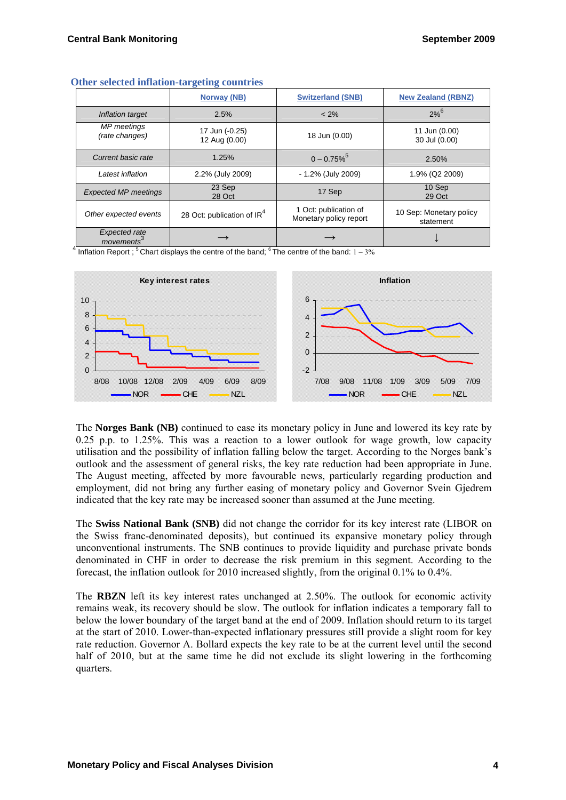|                               | $\sim$<br>$\overline{\phantom{a}}$     |                                                 |                                      |
|-------------------------------|----------------------------------------|-------------------------------------------------|--------------------------------------|
|                               | Norway (NB)                            | <b>Switzerland (SNB)</b>                        | <b>New Zealand (RBNZ)</b>            |
| Inflation target              | 2.5%                                   | $< 2\%$                                         | $2%^{6}$                             |
| MP meetings<br>(rate changes) | 17 Jun (-0.25)<br>12 Aug (0.00)        | 18 Jun (0.00)                                   | 11 Jun (0.00)<br>30 Jul (0.00)       |
| Current basic rate            | 1.25%                                  | $0 - 0.75\%$                                    | 2.50%                                |
| Latest inflation              | 2.2% (July 2009)                       | - 1.2% (July 2009)                              | 1.9% (Q2 2009)                       |
| <b>Expected MP meetings</b>   | 23 Sep<br>28 Oct                       | 17 Sep                                          | 10 Sep<br>29 Oct                     |
| Other expected events         | 28 Oct: publication of IR <sup>4</sup> | 1 Oct: publication of<br>Monetary policy report | 10 Sep: Monetary policy<br>statement |
| Expected rate<br>movements    |                                        |                                                 |                                      |

#### **Other selected inflation-targeting countries**

 $^{4}$  Inflation Report ;  $^{5}$  Chart displays the centre of the band;  $^{6}$  The centre of the band:  $1-3\%$ 



The **Norges Bank (NB)** continued to ease its monetary policy in June and lowered its key rate by 0.25 p.p. to 1.25%. This was a reaction to a lower outlook for wage growth, low capacity utilisation and the possibility of inflation falling below the target. According to the Norges bank's outlook and the assessment of general risks, the key rate reduction had been appropriate in June. The August meeting, affected by more favourable news, particularly regarding production and employment, did not bring any further easing of monetary policy and Governor Svein Gjedrem indicated that the key rate may be increased sooner than assumed at the June meeting.

The **Swiss National Bank (SNB)** did not change the corridor for its key interest rate (LIBOR on the Swiss franc-denominated deposits), but continued its expansive monetary policy through unconventional instruments. The SNB continues to provide liquidity and purchase private bonds denominated in CHF in order to decrease the risk premium in this segment. According to the forecast, the inflation outlook for 2010 increased slightly, from the original 0.1% to 0.4%.

The **RBZN** left its key interest rates unchanged at 2.50%. The outlook for economic activity remains weak, its recovery should be slow. The outlook for inflation indicates a temporary fall to below the lower boundary of the target band at the end of 2009. Inflation should return to its target at the start of 2010. Lower-than-expected inflationary pressures still provide a slight room for key rate reduction. Governor A. Bollard expects the key rate to be at the current level until the second half of 2010, but at the same time he did not exclude its slight lowering in the forthcoming quarters.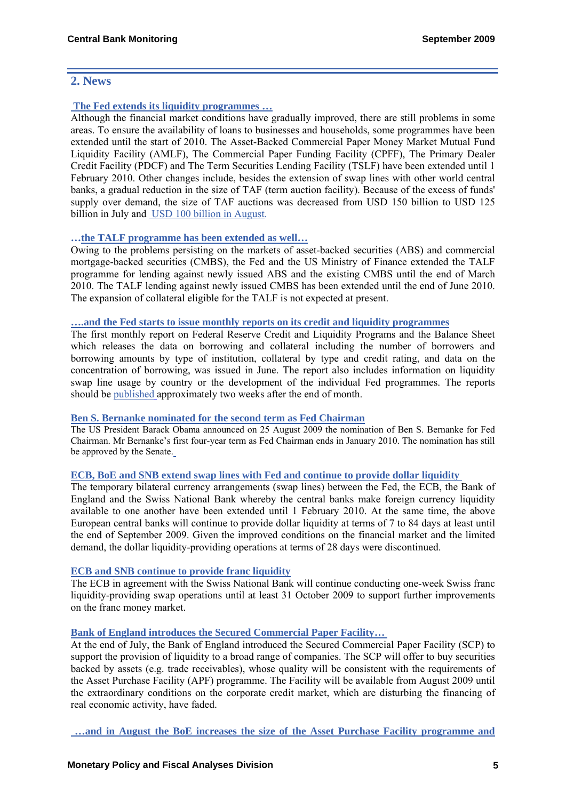# **2. News**

# **[The Fed extends its liquidity programmes …](http://www.federalreserve.gov/newsevents/press/monetary/20090625a.htm)**

Although the financial market conditions have gradually improved, there are still problems in some areas. To ensure the availability of loans to businesses and households, some programmes have been extended until the start of 2010. The Asset-Backed Commercial Paper Money Market Mutual Fund Liquidity Facility (AMLF), The Commercial Paper Funding Facility (CPFF), The Primary Dealer Credit Facility (PDCF) and The Term Securities Lending Facility (TSLF) have been extended until 1 February 2010. Other changes include, besides the extension of swap lines with other world central banks, a gradual reduction in the size of TAF (term auction facility). Because of the excess of funds' supply over demand, the size of TAF auctions was decreased from USD 150 billion to USD 125 billion in July and [USD 100 billion in August](http://www.federalreserve.gov/newsevents/press/monetary/20090724a.htm).

# **[…the TALF programme has been extended as well…](http://www.federalreserve.gov/newsevents/press/monetary/20090817a.htm)**

Owing to the problems persisting on the markets of asset-backed securities (ABS) and commercial mortgage-backed securities (CMBS), the Fed and the US Ministry of Finance extended the TALF programme for lending against newly issued ABS and the existing CMBS until the end of March 2010. The TALF lending against newly issued CMBS has been extended until the end of June 2010. The expansion of collateral eligible for the TALF is not expected at present.

#### **[….and the Fed starts to issue monthly reports on its credit and liquidity programmes](http://www.federalreserve.gov/newsevents/press/monetary/20090610a.htm)**

The first monthly report on Federal Reserve Credit and Liquidity Programs and the Balance Sheet which releases the data on borrowing and collateral including the number of borrowers and borrowing amounts by type of institution, collateral by type and credit rating, and data on the concentration of borrowing, was issued in June. The report also includes information on liquidity swap line usage by country or the development of the individual Fed programmes. The reports should be [published](http://www.federalreserve.gov/monetarypolicy/bst_reportsresources.htm) approximately two weeks after the end of month.

## **[Ben S. Bernanke nominated for the second term as Fed Chairman](http://www.whitehouse.gov/the_press_office/Remarks-By-The-President-and-Ben-Bernanke-at-the-Nomination-of-Ben-Bernanke-For-Chairman-Of-the-Federal-Reserve/)**

The US President Barack Obama announced on 25 August 2009 the nomination of Ben S. Bernanke for Fed Chairman. Mr Bernanke's first four-year term as Fed Chairman ends in January 2010. The nomination has still be approved by the Senate.

# **[ECB, BoE and SNB extend swap lines with Fed and continue to provide dollar liquidity](http://www.ecb.int/press/pr/date/2009/html/pr090625.en.html)**

The temporary bilateral currency arrangements (swap lines) between the Fed, the ECB, the Bank of England and the Swiss National Bank whereby the central banks make foreign currency liquidity available to one another have been extended until 1 February 2010. At the same time, the above European central banks will continue to provide dollar liquidity at terms of 7 to 84 days at least until the end of September 2009. Given the improved conditions on the financial market and the limited demand, the dollar liquidity-providing operations at terms of 28 days were discontinued.

# **[ECB and SNB continue to provide franc liquidity](http://www.ecb.int/press/pr/date/2009/html/pr090625_1.en.html)**

The ECB in agreement with the Swiss National Bank will continue conducting one-week Swiss franc liquidity-providing swap operations until at least 31 October 2009 to support further improvements on the franc money market.

# **Bank of England introduces the Secured Commercial Paper Facility…**

At the end of July, the Bank of England introduced the Secured Commercial Paper Facility (SCP) to support the provision of liquidity to a broad range of companies. The SCP will offer to buy securities backed by assets (e.g. trade receivables), whose quality will be consistent with the requirements of the Asset Purchase Facility (APF) programme. The Facility will be available from August 2009 until the extraordinary conditions on the corporate credit market, which are disturbing the financing of real economic activity, have faded.

 **[…and in August the BoE increases the size of the Asset Purchase Facility programme and](http://www.bankofengland.co.uk/publications/news/2009/063.htm)**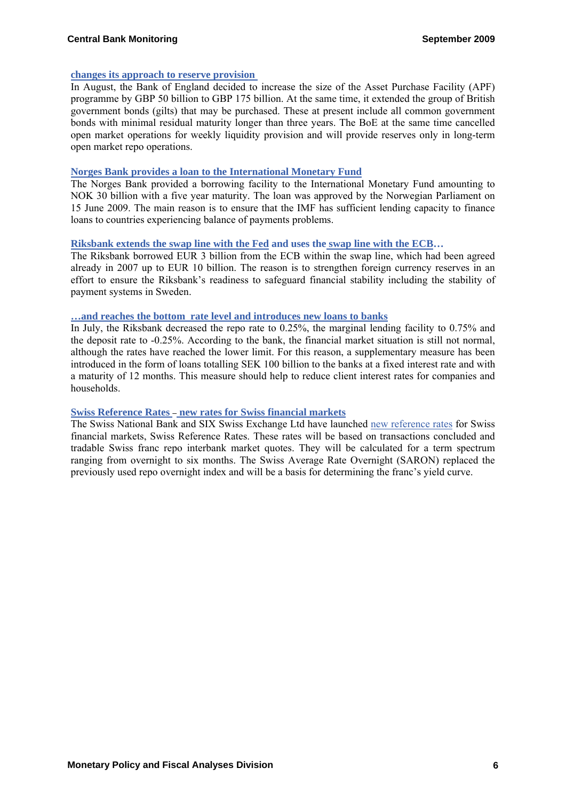#### **changes its approach to reserve provision**

In August, the Bank of England decided to increase the size of the Asset Purchase Facility (APF) programme by GBP 50 billion to GBP 175 billion. At the same time, it extended the group of British government bonds (gilts) that may be purchased. These at present include all common government bonds with minimal residual maturity longer than three years. The BoE at the same time cancelled open market operations for weekly liquidity provision and will provide reserves only in long-term open market repo operations.

#### **Norges Bank provides a loan to the International Monetary Fund**

The Norges Bank provided a borrowing facility to the International Monetary Fund amounting to NOK 30 billion with a five year maturity. The loan was approved by the Norwegian Parliament on 15 June 2009. The main reason is to ensure that the IMF has sufficient lending capacity to finance loans to countries experiencing balance of payments problems.

#### **[Riksbank extends the swap line with the Fed](http://www.riksbank.com/templates/Page.aspx?id=31979) and uses th[e swap line with the ECB](http://www.riksbank.com/templates/Page.aspx?id=31855)…**

The Riksbank borrowed EUR 3 billion from the ECB within the swap line, which had been agreed already in 2007 up to EUR 10 billion. The reason is to strengthen foreign currency reserves in an effort to ensure the Riksbank's readiness to safeguard financial stability including the stability of payment systems in Sweden.

#### **…and reaches the bottom [rate level and introduces new loans to banks](http://www.riksbank.com/templates/Page.aspx?id=32047)**

In July, the Riksbank decreased the repo rate to 0.25%, the marginal lending facility to 0.75% and the deposit rate to -0.25%. According to the bank, the financial market situation is still not normal, although the rates have reached the lower limit. For this reason, a supplementary measure has been introduced in the form of loans totalling SEK 100 billion to the banks at a fixed interest rate and with a maturity of 12 months. This measure should help to reduce client interest rates for companies and households.

## **[Swiss Reference Rates](http://www.snb.ch/en/mmr/reference/pre_20090825/source/pre_20090825.en.pdf)** [–](http://www.snb.ch/en/mmr/reference/pre_20090825/source/pre_20090825.en.pdf) **[new rates for Swiss financial markets](http://www.snb.ch/en/mmr/reference/pre_20090825/source/pre_20090825.en.pdf)**

The Swiss National Bank and SIX Swiss Exchange Ltd have launched [new reference rates](http://www.snb.ch/en/ifor/finmkt/id/finmkt_repos_saron) for Swiss financial markets, Swiss Reference Rates. These rates will be based on transactions concluded and tradable Swiss franc repo interbank market quotes. They will be calculated for a term spectrum ranging from overnight to six months. The Swiss Average Rate Overnight (SARON) replaced the previously used repo overnight index and will be a basis for determining the franc's yield curve.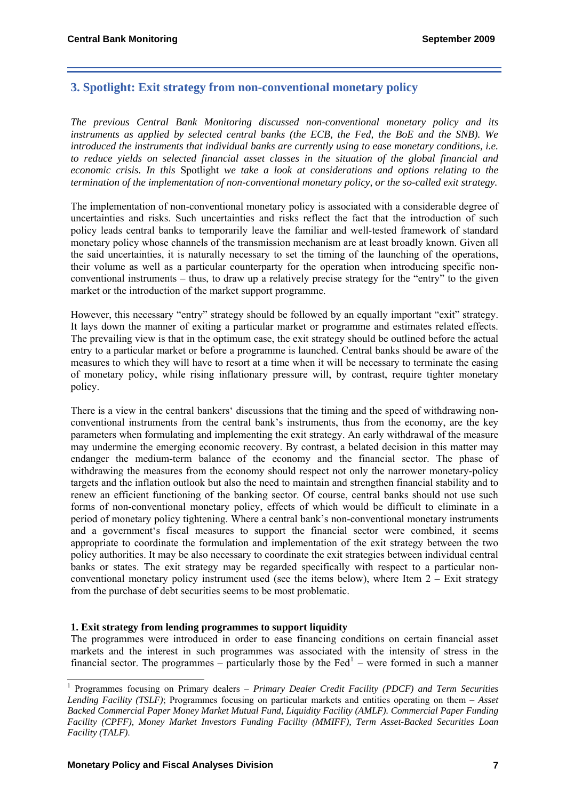# **3. Spotlight: Exit strategy from non-conventional monetary policy**

*The previous Central Bank Monitoring discussed non-conventional monetary policy and its instruments as applied by selected central banks (the ECB, the Fed, the BoE and the SNB). We introduced the instruments that individual banks are currently using to ease monetary conditions, i.e. to reduce yields on selected financial asset classes in the situation of the global financial and economic crisis. In this* Spotlight *we take a look at considerations and options relating to the termination of the implementation of non-conventional monetary policy, or the so-called exit strategy.* 

The implementation of non-conventional monetary policy is associated with a considerable degree of uncertainties and risks. Such uncertainties and risks reflect the fact that the introduction of such policy leads central banks to temporarily leave the familiar and well-tested framework of standard monetary policy whose channels of the transmission mechanism are at least broadly known. Given all the said uncertainties, it is naturally necessary to set the timing of the launching of the operations, their volume as well as a particular counterparty for the operation when introducing specific nonconventional instruments – thus, to draw up a relatively precise strategy for the "entry" to the given market or the introduction of the market support programme.

However, this necessary "entry" strategy should be followed by an equally important "exit" strategy. It lays down the manner of exiting a particular market or programme and estimates related effects. The prevailing view is that in the optimum case, the exit strategy should be outlined before the actual entry to a particular market or before a programme is launched. Central banks should be aware of the measures to which they will have to resort at a time when it will be necessary to terminate the easing of monetary policy, while rising inflationary pressure will, by contrast, require tighter monetary policy.

There is a view in the central bankers' discussions that the timing and the speed of withdrawing nonconventional instruments from the central bank's instruments, thus from the economy, are the key parameters when formulating and implementing the exit strategy. An early withdrawal of the measure may undermine the emerging economic recovery. By contrast, a belated decision in this matter may endanger the medium-term balance of the economy and the financial sector. The phase of withdrawing the measures from the economy should respect not only the narrower monetary-policy targets and the inflation outlook but also the need to maintain and strengthen financial stability and to renew an efficient functioning of the banking sector. Of course, central banks should not use such forms of non-conventional monetary policy, effects of which would be difficult to eliminate in a period of monetary policy tightening. Where a central bank's non-conventional monetary instruments and a government's fiscal measures to support the financial sector were combined, it seems appropriate to coordinate the formulation and implementation of the exit strategy between the two policy authorities. It may be also necessary to coordinate the exit strategies between individual central banks or states. The exit strategy may be regarded specifically with respect to a particular nonconventional monetary policy instrument used (see the items below), where Item  $2 -$  Exit strategy from the purchase of debt securities seems to be most problematic.

## **1. Exit strategy from lending programmes to support liquidity**

The programmes were introduced in order to ease financing conditions on certain financial asset markets and the interest in such programmes was associated with the intensity of stress in the financial sector. The programmes  $-\tilde{\text{particularly}}$  those by the Fed<sup>[1](#page-6-0)</sup> – were formed in such a manner

<span id="page-6-0"></span> 1 Programmes focusing on Primary dealers – *Primary Dealer Credit Facility (PDCF) and Term Securities Lending Facility (TSLF)*; Programmes focusing on particular markets and entities operating on them – *Asset Backed Commercial Paper Money Market Mutual Fund, Liquidity Facility (AMLF). Commercial Paper Funding Facility (CPFF), Money Market Investors Funding Facility (MMIFF), Term Asset-Backed Securities Loan Facility (TALF)*.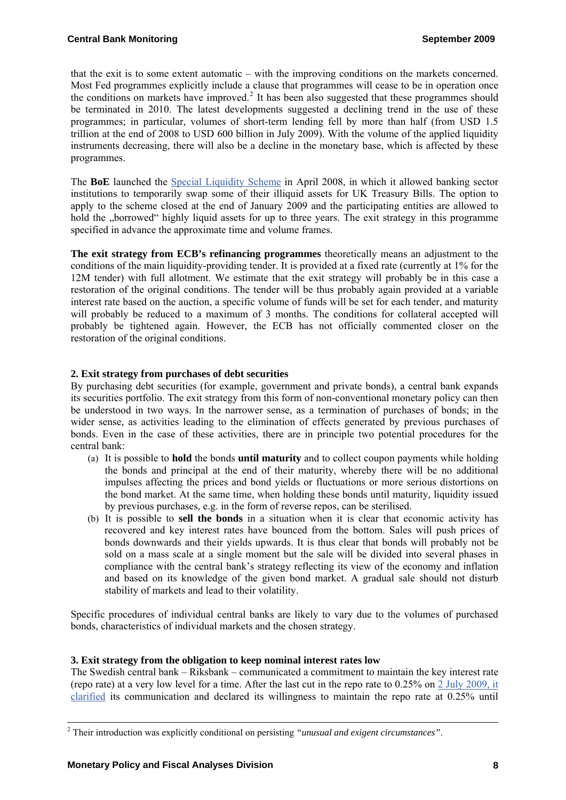that the exit is to some extent automatic – with the improving conditions on the markets concerned. Most Fed programmes explicitly include a clause that programmes will cease to be in operation once the conditions on markets have improved.<sup>[2](#page-7-0)</sup> It has been also suggested that these programmes should be terminated in 2010. The latest developments suggested a declining trend in the use of these programmes; in particular, volumes of short-term lending fell by more than half (from USD 1.5 trillion at the end of 2008 to USD 600 billion in July 2009). With the volume of the applied liquidity instruments decreasing, there will also be a decline in the monetary base, which is affected by these programmes.

The **BoE** launched the [Special Liquidity Scheme](http://www.bankofengland.co.uk/markets/marketnotice090203c.pdf) in April 2008, in which it allowed banking sector institutions to temporarily swap some of their illiquid assets for UK Treasury Bills. The option to apply to the scheme closed at the end of January 2009 and the participating entities are allowed to hold the "borrowed" highly liquid assets for up to three years. The exit strategy in this programme specified in advance the approximate time and volume frames.

**The exit strategy from ECB's refinancing programmes** theoretically means an adjustment to the conditions of the main liquidity-providing tender. It is provided at a fixed rate (currently at 1% for the 12M tender) with full allotment. We estimate that the exit strategy will probably be in this case a restoration of the original conditions. The tender will be thus probably again provided at a variable interest rate based on the auction, a specific volume of funds will be set for each tender, and maturity will probably be reduced to a maximum of 3 months. The conditions for collateral accepted will probably be tightened again. However, the ECB has not officially commented closer on the restoration of the original conditions.

# **2. Exit strategy from purchases of debt securities**

By purchasing debt securities (for example, government and private bonds), a central bank expands its securities portfolio. The exit strategy from this form of non-conventional monetary policy can then be understood in two ways. In the narrower sense, as a termination of purchases of bonds; in the wider sense, as activities leading to the elimination of effects generated by previous purchases of bonds. Even in the case of these activities, there are in principle two potential procedures for the central bank:

- (a) It is possible to **hold** the bonds **until maturity** and to collect coupon payments while holding the bonds and principal at the end of their maturity, whereby there will be no additional impulses affecting the prices and bond yields or fluctuations or more serious distortions on the bond market. At the same time, when holding these bonds until maturity, liquidity issued by previous purchases, e.g. in the form of reverse repos, can be sterilised.
- (b) It is possible to **sell the bonds** in a situation when it is clear that economic activity has recovered and key interest rates have bounced from the bottom. Sales will push prices of bonds downwards and their yields upwards. It is thus clear that bonds will probably not be sold on a mass scale at a single moment but the sale will be divided into several phases in compliance with the central bank's strategy reflecting its view of the economy and inflation and based on its knowledge of the given bond market. A gradual sale should not disturb stability of markets and lead to their volatility.

Specific procedures of individual central banks are likely to vary due to the volumes of purchased bonds, characteristics of individual markets and the chosen strategy.

## **3. Exit strategy from the obligation to keep nominal interest rates low**

The Swedish central bank – Riksbank – communicated a commitment to maintain the key interest rate (repo rate) at a very low level for a time. After the last cut in the repo rate to 0.25% on [2 July 2009, it](http://www.riksbank.com/templates/Page.aspx?id=32047)  [clarified](http://www.riksbank.com/templates/Page.aspx?id=32047) its communication and declared its willingness to maintain the repo rate at 0.25% until

-

<span id="page-7-0"></span><sup>2</sup> Their introduction was explicitly conditional on persisting *"unusual and exigent circumstances"*.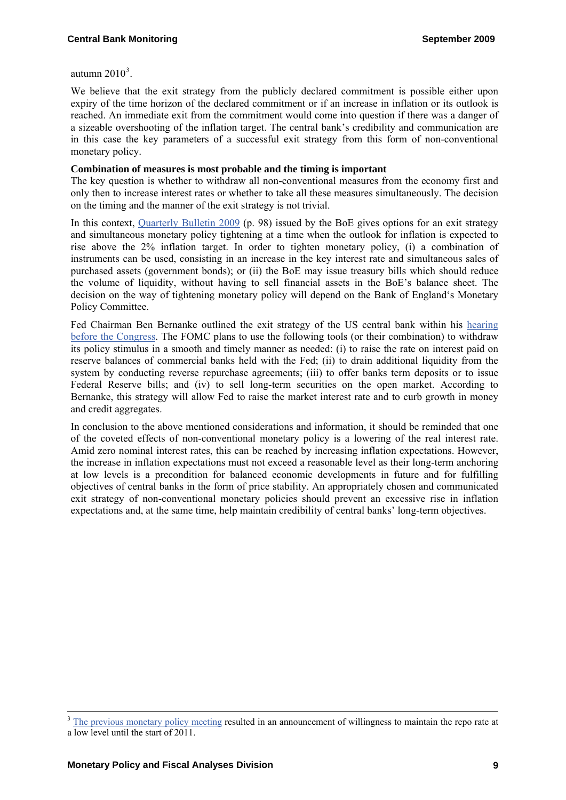autumn  $2010<sup>3</sup>$  $2010<sup>3</sup>$  $2010<sup>3</sup>$ .

We believe that the exit strategy from the publicly declared commitment is possible either upon expiry of the time horizon of the declared commitment or if an increase in inflation or its outlook is reached. An immediate exit from the commitment would come into question if there was a danger of a sizeable overshooting of the inflation target. The central bank's credibility and communication are in this case the key parameters of a successful exit strategy from this form of non-conventional monetary policy.

#### **Combination of measures is most probable and the timing is important**

The key question is whether to withdraw all non-conventional measures from the economy first and only then to increase interest rates or whether to take all these measures simultaneously. The decision on the timing and the manner of the exit strategy is not trivial.

In this context, [Quarterly Bulletin 2009](http://www.bankofengland.co.uk/publications/quarterlybulletin/qb090201.pdf) (p. 98) issued by the BoE gives options for an exit strategy and simultaneous monetary policy tightening at a time when the outlook for inflation is expected to rise above the 2% inflation target. In order to tighten monetary policy, (i) a combination of instruments can be used, consisting in an increase in the key interest rate and simultaneous sales of purchased assets (government bonds); or (ii) the BoE may issue treasury bills which should reduce the volume of liquidity, without having to sell financial assets in the BoE's balance sheet. The decision on the way of tightening monetary policy will depend on the Bank of England's Monetary Policy Committee.

Fed Chairman Ben Bernanke outlined the exit strategy of the US central bank within his [hearing](http://www.federalreserve.gov/newsevents/testimony/DBBB5C9F26B6440AA4A21E104A61577A.htm)  [before the Congress.](http://www.federalreserve.gov/newsevents/testimony/DBBB5C9F26B6440AA4A21E104A61577A.htm) The FOMC plans to use the following tools (or their combination) to withdraw its policy stimulus in a smooth and timely manner as needed: (i) to raise the rate on interest paid on reserve balances of commercial banks held with the Fed; (ii) to drain additional liquidity from the system by conducting reverse repurchase agreements; (iii) to offer banks term deposits or to issue Federal Reserve bills; and (iv) to sell long-term securities on the open market. According to Bernanke, this strategy will allow Fed to raise the market interest rate and to curb growth in money and credit aggregates.

In conclusion to the above mentioned considerations and information, it should be reminded that one of the coveted effects of non-conventional monetary policy is a lowering of the real interest rate. Amid zero nominal interest rates, this can be reached by increasing inflation expectations. However, the increase in inflation expectations must not exceed a reasonable level as their long-term anchoring at low levels is a precondition for balanced economic developments in future and for fulfilling objectives of central banks in the form of price stability. An appropriately chosen and communicated exit strategy of non-conventional monetary policies should prevent an excessive rise in inflation expectations and, at the same time, help maintain credibility of central banks' long-term objectives.

-

<span id="page-8-0"></span><sup>&</sup>lt;sup>3</sup> [The previous monetary policy meeting](http://www.riksbank.com/templates/Page.aspx?id=31356) resulted in an announcement of willingness to maintain the repo rate at a low level until the start of 2011.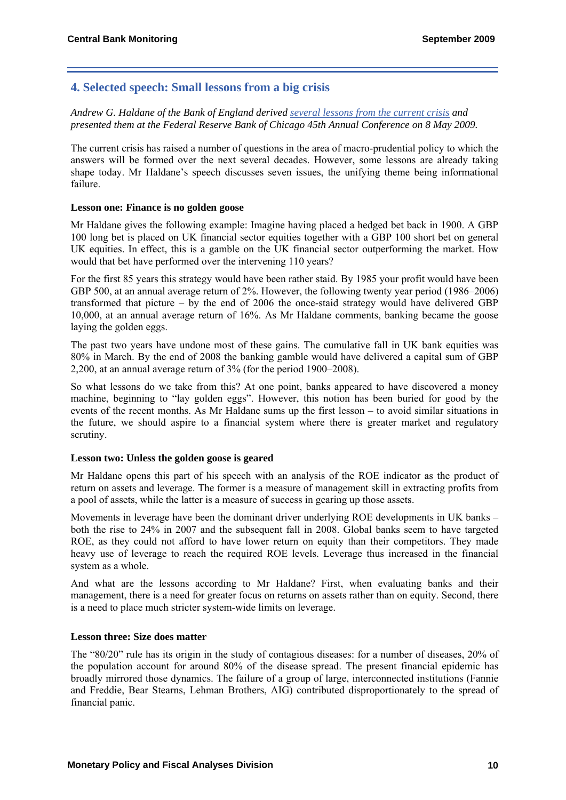# **4. Selected speech: Small lessons from a big crisis**

*Andrew G. Haldane of the Bank of England derived [several lessons from the current crisis](http://www.bankofengland.co.uk/publications/speeches/2009/speech397.pdf) and presented them at the Federal Reserve Bank of Chicago 45th Annual Conference on 8 May 2009.*

The current crisis has raised a number of questions in the area of macro-prudential policy to which the answers will be formed over the next several decades. However, some lessons are already taking shape today. Mr Haldane's speech discusses seven issues, the unifying theme being informational failure.

## **Lesson one: Finance is no golden goose**

Mr Haldane gives the following example: Imagine having placed a hedged bet back in 1900. A GBP 100 long bet is placed on UK financial sector equities together with a GBP 100 short bet on general UK equities. In effect, this is a gamble on the UK financial sector outperforming the market. How would that bet have performed over the intervening 110 years?

For the first 85 years this strategy would have been rather staid. By 1985 your profit would have been GBP 500, at an annual average return of 2%. However, the following twenty year period (1986–2006) transformed that picture – by the end of 2006 the once-staid strategy would have delivered GBP 10,000, at an annual average return of 16%. As Mr Haldane comments, banking became the goose laying the golden eggs.

The past two years have undone most of these gains. The cumulative fall in UK bank equities was 80% in March. By the end of 2008 the banking gamble would have delivered a capital sum of GBP 2,200, at an annual average return of 3% (for the period 1900–2008).

So what lessons do we take from this? At one point, banks appeared to have discovered a money machine, beginning to "lay golden eggs". However, this notion has been buried for good by the events of the recent months. As Mr Haldane sums up the first lesson – to avoid similar situations in the future, we should aspire to a financial system where there is greater market and regulatory scrutiny.

## **Lesson two: Unless the golden goose is geared**

Mr Haldane opens this part of his speech with an analysis of the ROE indicator as the product of return on assets and leverage. The former is a measure of management skill in extracting profits from a pool of assets, while the latter is a measure of success in gearing up those assets.

Movements in leverage have been the dominant driver underlying ROE developments in UK banks – both the rise to 24% in 2007 and the subsequent fall in 2008. Global banks seem to have targeted ROE, as they could not afford to have lower return on equity than their competitors. They made heavy use of leverage to reach the required ROE levels. Leverage thus increased in the financial system as a whole.

And what are the lessons according to Mr Haldane? First, when evaluating banks and their management, there is a need for greater focus on returns on assets rather than on equity. Second, there is a need to place much stricter system-wide limits on leverage.

## **Lesson three: Size does matter**

The "80/20" rule has its origin in the study of contagious diseases: for a number of diseases, 20% of the population account for around 80% of the disease spread. The present financial epidemic has broadly mirrored those dynamics. The failure of a group of large, interconnected institutions (Fannie and Freddie, Bear Stearns, Lehman Brothers, AIG) contributed disproportionately to the spread of financial panic.